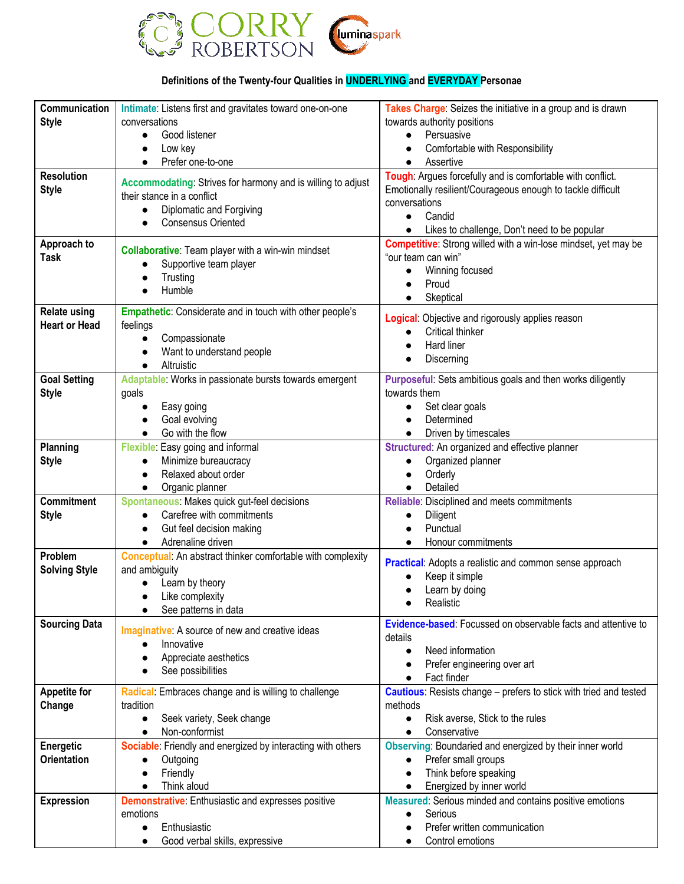

## **Definitions of the Twenty-four Qualities in UNDERLYING and EVERYDAY Personae**

| Communication            | Intimate: Listens first and gravitates toward one-on-one               | Takes Charge: Seizes the initiative in a group and is drawn                      |
|--------------------------|------------------------------------------------------------------------|----------------------------------------------------------------------------------|
| <b>Style</b>             | conversations                                                          | towards authority positions                                                      |
|                          | Good listener<br>$\bullet$                                             | Persuasive<br>$\bullet$                                                          |
|                          | Low key<br>$\bullet$                                                   | Comfortable with Responsibility<br>$\bullet$                                     |
|                          | Prefer one-to-one<br>$\bullet$                                         | Assertive<br>$\bullet$                                                           |
| <b>Resolution</b>        | Accommodating: Strives for harmony and is willing to adjust            | Tough: Argues forcefully and is comfortable with conflict.                       |
| <b>Style</b>             | their stance in a conflict                                             | Emotionally resilient/Courageous enough to tackle difficult                      |
|                          | Diplomatic and Forgiving<br>$\bullet$                                  | conversations                                                                    |
|                          | <b>Consensus Oriented</b>                                              | Candid<br>$\bullet$<br>Likes to challenge, Don't need to be popular<br>$\bullet$ |
| Approach to              |                                                                        | <b>Competitive:</b> Strong willed with a win-lose mindset, yet may be            |
| Task                     | <b>Collaborative:</b> Team player with a win-win mindset               | "our team can win"                                                               |
|                          | Supportive team player                                                 | Winning focused<br>$\bullet$                                                     |
|                          | Trusting                                                               | Proud<br>$\bullet$                                                               |
|                          | Humble                                                                 | Skeptical<br>$\bullet$                                                           |
| <b>Relate using</b>      | <b>Empathetic:</b> Considerate and in touch with other people's        |                                                                                  |
| <b>Heart or Head</b>     | feelings                                                               | Logical: Objective and rigorously applies reason                                 |
|                          | Compassionate<br>$\bullet$                                             | Critical thinker<br>$\bullet$<br>Hard liner                                      |
|                          | Want to understand people<br>$\bullet$                                 | $\bullet$<br>Discerning                                                          |
|                          | Altruistic<br>$\bullet$                                                |                                                                                  |
| <b>Goal Setting</b>      | Adaptable: Works in passionate bursts towards emergent                 | Purposeful: Sets ambitious goals and then works diligently                       |
| <b>Style</b>             | goals                                                                  | towards them                                                                     |
|                          | Easy going                                                             | Set clear goals<br>$\bullet$                                                     |
|                          | Goal evolving                                                          | Determined<br>$\bullet$                                                          |
|                          | Go with the flow<br>$\bullet$                                          | Driven by timescales<br>$\bullet$                                                |
| Planning<br><b>Style</b> | Flexible: Easy going and informal<br>Minimize bureaucracy<br>$\bullet$ | Structured: An organized and effective planner<br>Organized planner<br>$\bullet$ |
|                          | Relaxed about order                                                    | Orderly                                                                          |
|                          | Organic planner<br>$\bullet$                                           | Detailed                                                                         |
| <b>Commitment</b>        | Spontaneous: Makes quick gut-feel decisions                            | Reliable: Disciplined and meets commitments                                      |
| <b>Style</b>             | Carefree with commitments<br>$\bullet$                                 | Diligent<br>$\bullet$                                                            |
|                          | Gut feel decision making<br>$\bullet$                                  | Punctual                                                                         |
|                          | Adrenaline driven<br>$\bullet$                                         | Honour commitments<br>$\bullet$                                                  |
| Problem                  | <b>Conceptual:</b> An abstract thinker comfortable with complexity     | <b>Practical:</b> Adopts a realistic and common sense approach                   |
| <b>Solving Style</b>     | and ambiguity                                                          | Keep it simple                                                                   |
|                          | Learn by theory                                                        | Learn by doing<br>$\bullet$                                                      |
|                          | Like complexity<br>$\bullet$                                           | Realistic<br>$\bullet$                                                           |
|                          | See patterns in data                                                   |                                                                                  |
| <b>Sourcing Data</b>     | <b>Imaginative:</b> A source of new and creative ideas                 | <b>Evidence-based:</b> Focussed on observable facts and attentive to             |
|                          | Innovative                                                             | details<br>Need information<br>$\bullet$                                         |
|                          | Appreciate aesthetics                                                  | Prefer engineering over art<br>$\bullet$                                         |
|                          | See possibilities<br>$\bullet$                                         | Fact finder<br>$\bullet$                                                         |
| <b>Appetite for</b>      | Radical: Embraces change and is willing to challenge                   | <b>Cautious:</b> Resists change - prefers to stick with tried and tested         |
| Change                   | tradition                                                              | methods                                                                          |
|                          | Seek variety, Seek change<br>$\bullet$                                 | Risk averse, Stick to the rules<br>$\bullet$                                     |
|                          | Non-conformist<br>$\bullet$                                            | Conservative<br>$\bullet$                                                        |
| Energetic                | Sociable: Friendly and energized by interacting with others            | Observing: Boundaried and energized by their inner world                         |
| <b>Orientation</b>       | Outgoing                                                               | Prefer small groups<br>$\bullet$                                                 |
|                          | Friendly<br>$\bullet$                                                  | Think before speaking<br>$\bullet$                                               |
|                          | Think aloud<br>$\bullet$                                               | Energized by inner world<br>$\bullet$                                            |
| <b>Expression</b>        | <b>Demonstrative:</b> Enthusiastic and expresses positive              | Measured: Serious minded and contains positive emotions                          |
|                          | emotions                                                               | Serious<br>$\bullet$                                                             |
|                          | Enthusiastic<br>$\bullet$                                              | Prefer written communication                                                     |
|                          | Good verbal skills, expressive                                         | Control emotions                                                                 |